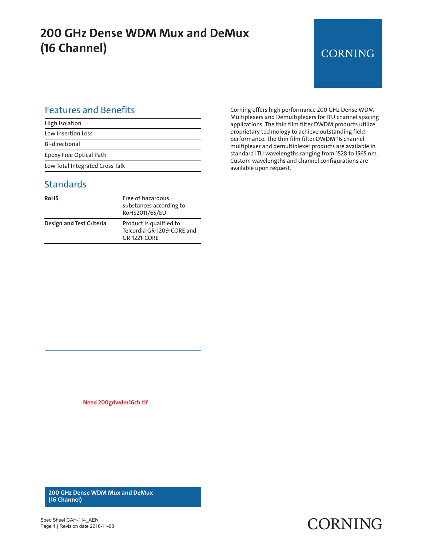## **200 GHz Dense WDM Mux and DeMux (16 Channel)**

#### **CORNING**

#### Features and Benefits

| High Isolation                  |
|---------------------------------|
| Low Insertion Loss              |
| Bi-directional                  |
| Epoxy Free Optical Path         |
| Low Total Integrated Cross Talk |

#### **Standards**

| RoHS                            | Free of hazardous<br>substances according to<br>RoHS2011/65/EU        |
|---------------------------------|-----------------------------------------------------------------------|
| <b>Design and Test Criteria</b> | Product is qualified to<br>Telcordia GR-1209-CORE and<br>GR-1221-CORF |

Corning offers high performance 200 GHz Dense WDM Multiplexers and Demultiplexers for ITU channel spacing applications. The thin film filter DWDM products utilize proprietary technology to achieve outstanding field performance. The thin film filter DWDM 16 channel multiplexer and demultiplexer products are available in standard ITU wavelengths ranging from 1528 to 1565 nm. Custom wavelengths and channel configurations are available upon request.



## **CORNING**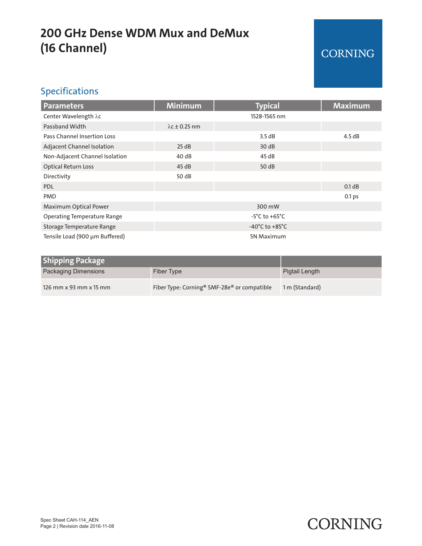## **200 GHz Dense WDM Mux and DeMux (16 Channel)**

#### CORNING

#### Specifications

| <b>Parameters</b>                  | <b>Minimum</b>                       | <b>Typical</b> | <b>Maximum</b> |
|------------------------------------|--------------------------------------|----------------|----------------|
| Center Wavelength λc               |                                      | 1528-1565 nm   |                |
| Passband Width                     | $\lambda$ c ± 0.25 nm                |                |                |
| Pass Channel Insertion Loss        |                                      | 3.5 dB         | 4.5dB          |
| Adjacent Channel Isolation         | 25 dB                                | 30dB           |                |
| Non-Adjacent Channel Isolation     | 40 dB                                | 45 dB          |                |
| <b>Optical Return Loss</b>         | 45dB                                 | 50 dB          |                |
| Directivity                        | 50 dB                                |                |                |
| <b>PDL</b>                         |                                      |                | 0.1 dB         |
| <b>PMD</b>                         |                                      |                | 0.1 ps         |
| Maximum Optical Power              | 300 mW                               |                |                |
| <b>Operating Temperature Range</b> | $-5^{\circ}$ C to $+65^{\circ}$ C    |                |                |
| Storage Temperature Range          | -40 $^{\circ}$ C to +85 $^{\circ}$ C |                |                |
| Tensile Load (900 µm Buffered)     | 5N Maximum                           |                |                |

| <b>Shipping Package</b> |                                                                     |                |
|-------------------------|---------------------------------------------------------------------|----------------|
| Packaging Dimensions    | Fiber Type                                                          | Pigtail Length |
| 126 mm x 93 mm x 15 mm  | Fiber Type: Corning <sup>®</sup> SMF-28e <sup>®</sup> or compatible | 1 m (Standard) |